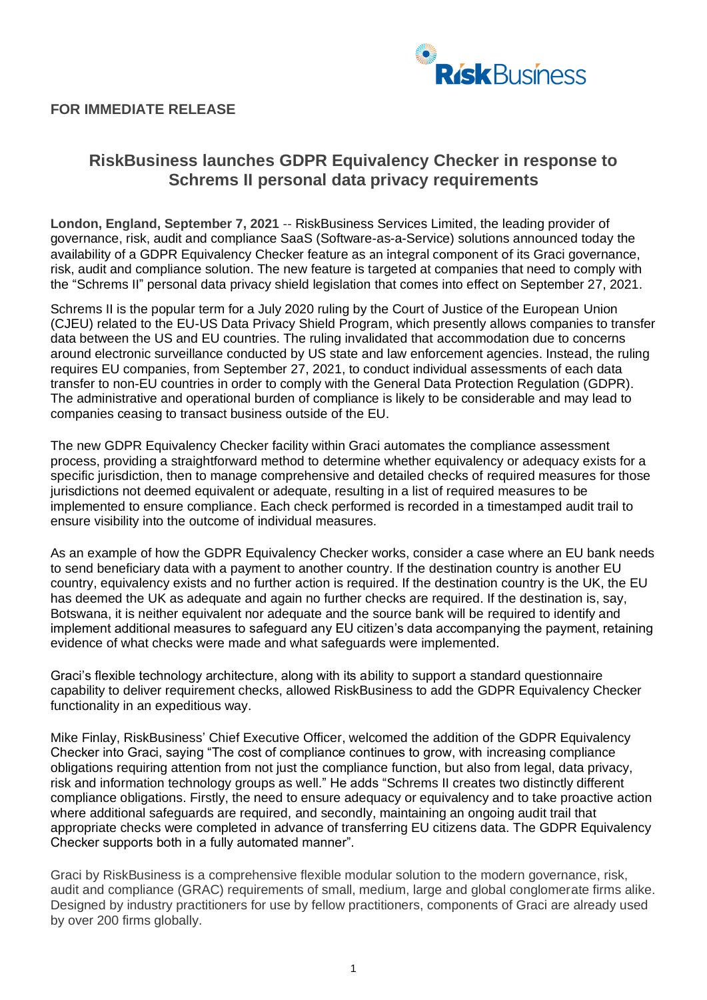

## **FOR IMMEDIATE RELEASE**

## **RiskBusiness launches GDPR Equivalency Checker in response to Schrems II personal data privacy requirements**

**London, England, September 7, 2021** -- RiskBusiness Services Limited, the leading provider of governance, risk, audit and compliance SaaS (Software-as-a-Service) solutions announced today the availability of a GDPR Equivalency Checker feature as an integral component of its Graci governance, risk, audit and compliance solution. The new feature is targeted at companies that need to comply with the "Schrems II" personal data privacy shield legislation that comes into effect on September 27, 2021.

Schrems II is the popular term for a July 2020 ruling by the Court of Justice of the European Union (CJEU) related to the EU-US Data Privacy Shield Program, which presently allows companies to transfer data between the US and EU countries. The ruling invalidated that accommodation due to concerns around electronic surveillance conducted by US state and law enforcement agencies. Instead, the ruling requires EU companies, from September 27, 2021, to conduct individual assessments of each data transfer to non-EU countries in order to comply with the General Data Protection Regulation (GDPR). The administrative and operational burden of compliance is likely to be considerable and may lead to companies ceasing to transact business outside of the EU.

The new GDPR Equivalency Checker facility within Graci automates the compliance assessment process, providing a straightforward method to determine whether equivalency or adequacy exists for a specific jurisdiction, then to manage comprehensive and detailed checks of required measures for those jurisdictions not deemed equivalent or adequate, resulting in a list of required measures to be implemented to ensure compliance. Each check performed is recorded in a timestamped audit trail to ensure visibility into the outcome of individual measures.

As an example of how the GDPR Equivalency Checker works, consider a case where an EU bank needs to send beneficiary data with a payment to another country. If the destination country is another EU country, equivalency exists and no further action is required. If the destination country is the UK, the EU has deemed the UK as adequate and again no further checks are required. If the destination is, say, Botswana, it is neither equivalent nor adequate and the source bank will be required to identify and implement additional measures to safeguard any EU citizen's data accompanying the payment, retaining evidence of what checks were made and what safeguards were implemented.

Graci's flexible technology architecture, along with its ability to support a standard questionnaire capability to deliver requirement checks, allowed RiskBusiness to add the GDPR Equivalency Checker functionality in an expeditious way.

Mike Finlay, RiskBusiness' Chief Executive Officer, welcomed the addition of the GDPR Equivalency Checker into Graci, saying "The cost of compliance continues to grow, with increasing compliance obligations requiring attention from not just the compliance function, but also from legal, data privacy, risk and information technology groups as well." He adds "Schrems II creates two distinctly different compliance obligations. Firstly, the need to ensure adequacy or equivalency and to take proactive action where additional safeguards are required, and secondly, maintaining an ongoing audit trail that appropriate checks were completed in advance of transferring EU citizens data. The GDPR Equivalency Checker supports both in a fully automated manner".

Graci by RiskBusiness is a comprehensive flexible modular solution to the modern governance, risk, audit and compliance (GRAC) requirements of small, medium, large and global conglomerate firms alike. Designed by industry practitioners for use by fellow practitioners, components of Graci are already used by over 200 firms globally.